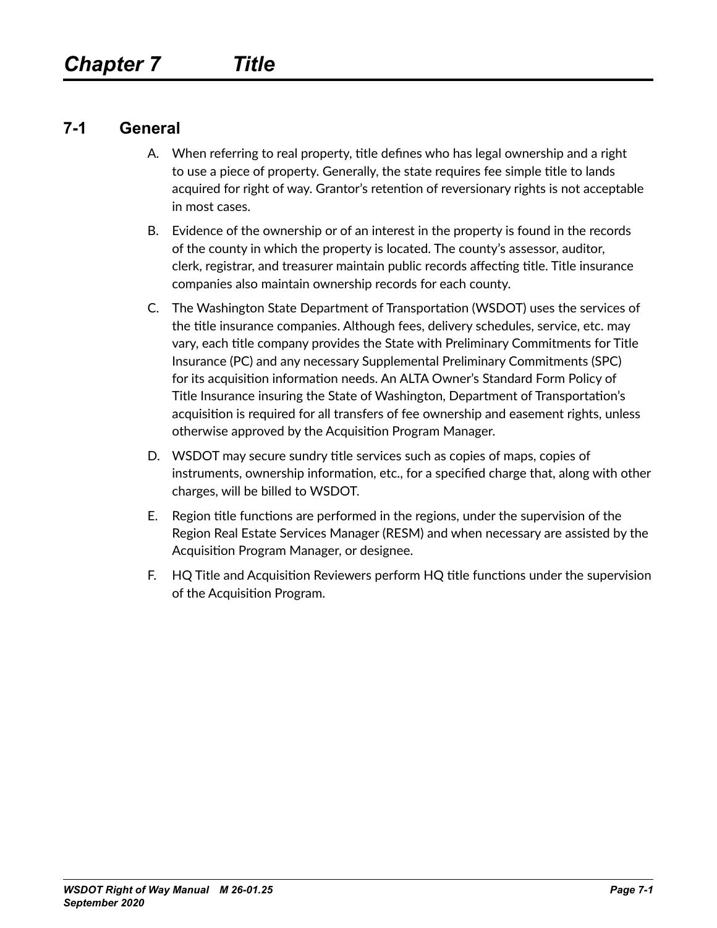### **7-1 General**

- A. When referring to real property, title defines who has legal ownership and a right to use a piece of property. Generally, the state requires fee simple title to lands acquired for right of way. Grantor's retention of reversionary rights is not acceptable in most cases.
- B. Evidence of the ownership or of an interest in the property is found in the records of the county in which the property is located. The county's assessor, auditor, clerk, registrar, and treasurer maintain public records affecting title. Title insurance companies also maintain ownership records for each county.
- C. The Washington State Department of Transportation (WSDOT) uses the services of the title insurance companies. Although fees, delivery schedules, service, etc. may vary, each title company provides the State with Preliminary Commitments for Title Insurance (PC) and any necessary Supplemental Preliminary Commitments (SPC) for its acquisition information needs. An ALTA Owner's Standard Form Policy of Title Insurance insuring the State of Washington, Department of Transportation's acquisition is required for all transfers of fee ownership and easement rights, unless otherwise approved by the Acquisition Program Manager.
- D. WSDOT may secure sundry title services such as copies of maps, copies of instruments, ownership information, etc., for a specified charge that, along with other charges, will be billed to WSDOT.
- E. Region title functions are performed in the regions, under the supervision of the Region Real Estate Services Manager (RESM) and when necessary are assisted by the Acquisition Program Manager, or designee.
- F. HQ Title and Acquisition Reviewers perform HQ title functions under the supervision of the Acquisition Program.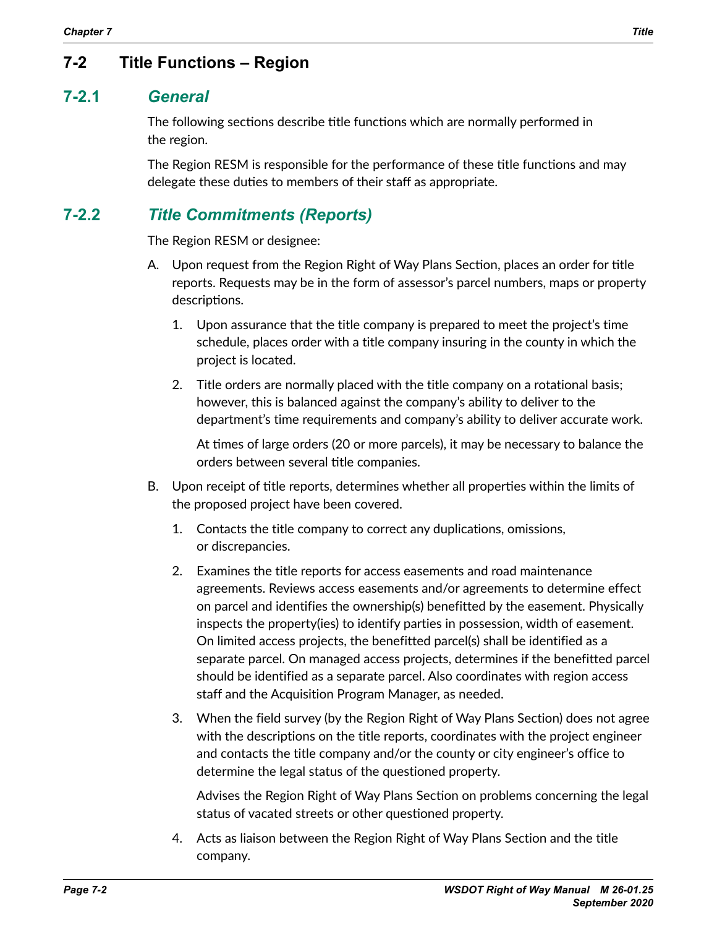# **7-2 Title Functions – Region**

#### **7-2.1** *General*

The following sections describe title functions which are normally performed in the region.

The Region RESM is responsible for the performance of these title functions and may delegate these duties to members of their staff as appropriate.

## **7-2.2** *Title Commitments (Reports)*

The Region RESM or designee:

- A. Upon request from the Region Right of Way Plans Section, places an order for title reports. Requests may be in the form of assessor's parcel numbers, maps or property descriptions.
	- 1. Upon assurance that the title company is prepared to meet the project's time schedule, places order with a title company insuring in the county in which the project is located.
	- 2. Title orders are normally placed with the title company on a rotational basis; however, this is balanced against the company's ability to deliver to the department's time requirements and company's ability to deliver accurate work.

At times of large orders (20 or more parcels), it may be necessary to balance the orders between several title companies.

- B. Upon receipt of title reports, determines whether all properties within the limits of the proposed project have been covered.
	- 1. Contacts the title company to correct any duplications, omissions, or discrepancies.
	- 2. Examines the title reports for access easements and road maintenance agreements. Reviews access easements and/or agreements to determine effect on parcel and identifies the ownership(s) benefitted by the easement. Physically inspects the property(ies) to identify parties in possession, width of easement. On limited access projects, the benefitted parcel(s) shall be identified as a separate parcel. On managed access projects, determines if the benefitted parcel should be identified as a separate parcel. Also coordinates with region access staff and the Acquisition Program Manager, as needed.
	- 3. When the field survey (by the Region Right of Way Plans Section) does not agree with the descriptions on the title reports, coordinates with the project engineer and contacts the title company and/or the county or city engineer's office to determine the legal status of the questioned property.

Advises the Region Right of Way Plans Section on problems concerning the legal status of vacated streets or other questioned property.

4. Acts as liaison between the Region Right of Way Plans Section and the title company.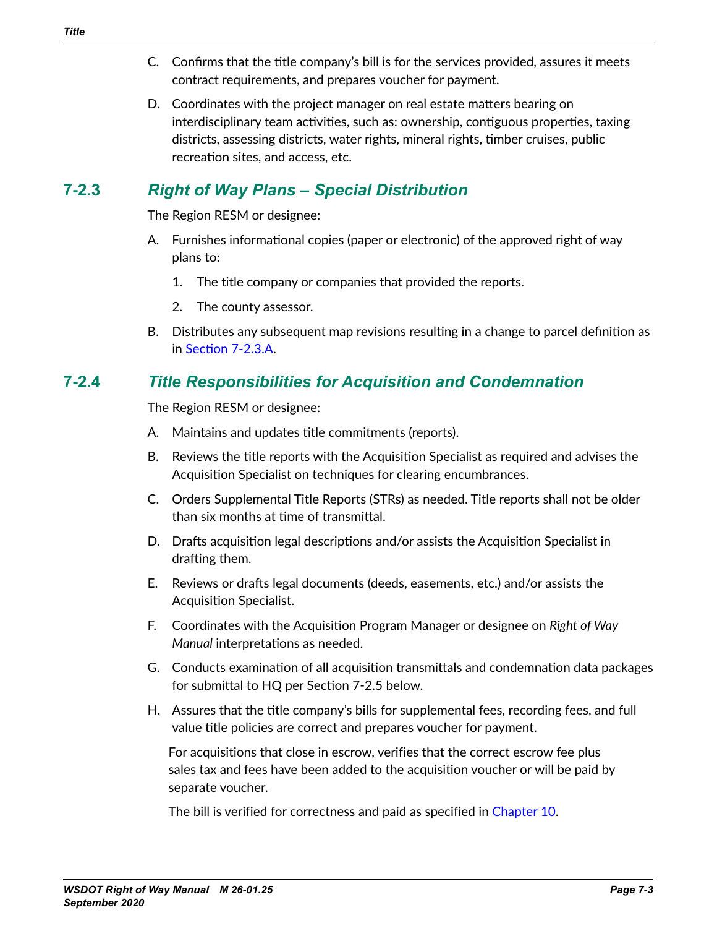- C. Confirms that the title company's bill is for the services provided, assures it meets contract requirements, and prepares voucher for payment.
- D. Coordinates with the project manager on real estate matters bearing on interdisciplinary team activities, such as: ownership, contiguous properties, taxing districts, assessing districts, water rights, mineral rights, timber cruises, public recreation sites, and access, etc.

# **7-2.3** *Right of Way Plans – Special Distribution*

The Region RESM or designee:

- <span id="page-2-0"></span>A. Furnishes informational copies (paper or electronic) of the approved right of way plans to:
	- 1. The title company or companies that provided the reports.
	- 2. The county assessor.
- B. Distributes any subsequent map revisions resulting in a change to parcel definition as in [Section 7-2.3.A](#page-2-0).

# **7-2.4** *Title Responsibilities for Acquisition and Condemnation*

The Region RESM or designee:

- A. Maintains and updates title commitments (reports).
- B. Reviews the title reports with the Acquisition Specialist as required and advises the Acquisition Specialist on techniques for clearing encumbrances.
- C. Orders Supplemental Title Reports (STRs) as needed. Title reports shall not be older than six months at time of transmittal.
- D. Drafts acquisition legal descriptions and/or assists the Acquisition Specialist in drafting them.
- E. Reviews or drafts legal documents (deeds, easements, etc.) and/or assists the Acquisition Specialist.
- F. Coordinates with the Acquisition Program Manager or designee on *Right of Way Manual* interpretations as needed.
- G. Conducts examination of all acquisition transmittals and condemnation data packages for submittal to HQ per Section 7-2.5 below.
- H. Assures that the title company's bills for supplemental fees, recording fees, and full value title policies are correct and prepares voucher for payment.

For acquisitions that close in escrow, verifies that the correct escrow fee plus sales tax and fees have been added to the acquisition voucher or will be paid by separate voucher.

The bill is verified for correctness and paid as specified in Chapter 10.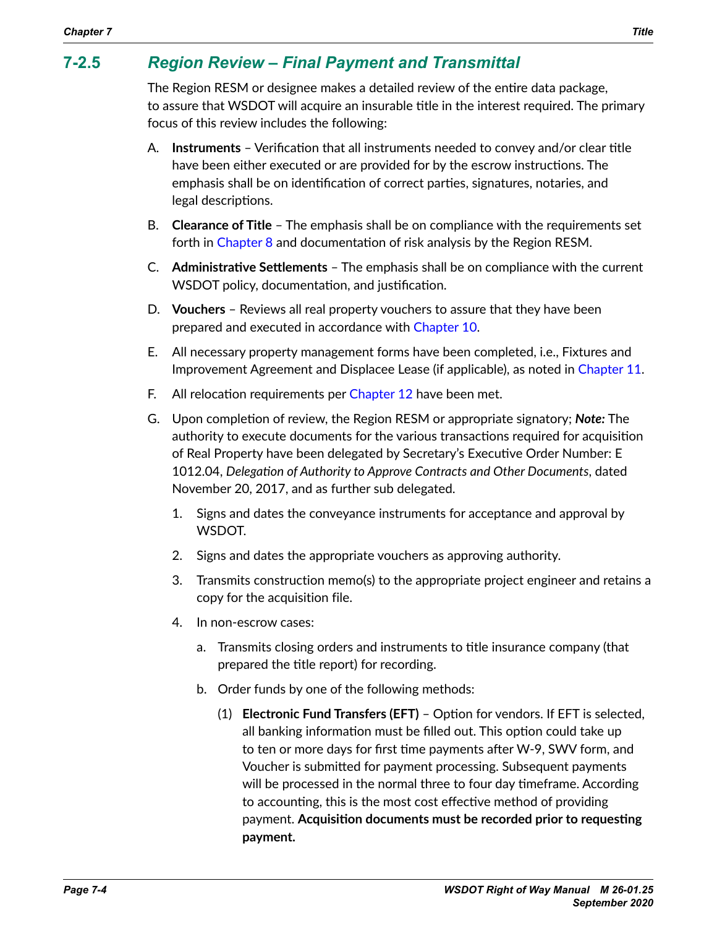# **7-2.5** *Region Review – Final Payment and Transmittal*

The Region RESM or designee makes a detailed review of the entire data package, to assure that WSDOT will acquire an insurable title in the interest required. The primary focus of this review includes the following:

- A. **Instruments** Verification that all instruments needed to convey and/or clear title have been either executed or are provided for by the escrow instructions. The emphasis shall be on identification of correct parties, signatures, notaries, and legal descriptions.
- B. **Clearance of Title** The emphasis shall be on compliance with the requirements set forth in Chapter 8 and documentation of risk analysis by the Region RESM.
- C. **Administrative Settlements** The emphasis shall be on compliance with the current WSDOT policy, documentation, and justification.
- D. **Vouchers** Reviews all real property vouchers to assure that they have been prepared and executed in accordance with Chapter 10.
- E. All necessary property management forms have been completed, i.e., Fixtures and Improvement Agreement and Displacee Lease (if applicable), as noted in Chapter 11.
- F. All relocation requirements per Chapter 12 have been met.
- G. Upon completion of review, the Region RESM or appropriate signatory; *Note:* The authority to execute documents for the various transactions required for acquisition of Real Property have been delegated by [Secretary's](http://wwwi.wsdot.wa.gov/publications/policies/fulltext/1012.pdf) Executive Order Number: E 1012.04, *Delegation of Authority to Approve Contracts and Other Documents*, dated November 20, 2017, and as further sub delegated.
	- 1. Signs and dates the conveyance instruments for acceptance and approval by WSDOT.
	- 2. Signs and dates the appropriate vouchers as approving authority.
	- 3. Transmits construction memo(s) to the appropriate project engineer and retains a copy for the acquisition file.
	- 4. In non-escrow cases:
		- a. Transmits closing orders and instruments to title insurance company (that prepared the title report) for recording.
		- b. Order funds by one of the following methods:
			- (1) **Electronic Fund Transfers (EFT)** Option for vendors. If EFT is selected, all banking information must be filled out. This option could take up to ten or more days for first time payments after W-9, SWV form, and Voucher is submitted for payment processing. Subsequent payments will be processed in the normal three to four day timeframe. According to accounting, this is the most cost effective method of providing payment. **Acquisition documents must be recorded prior to requesting payment.**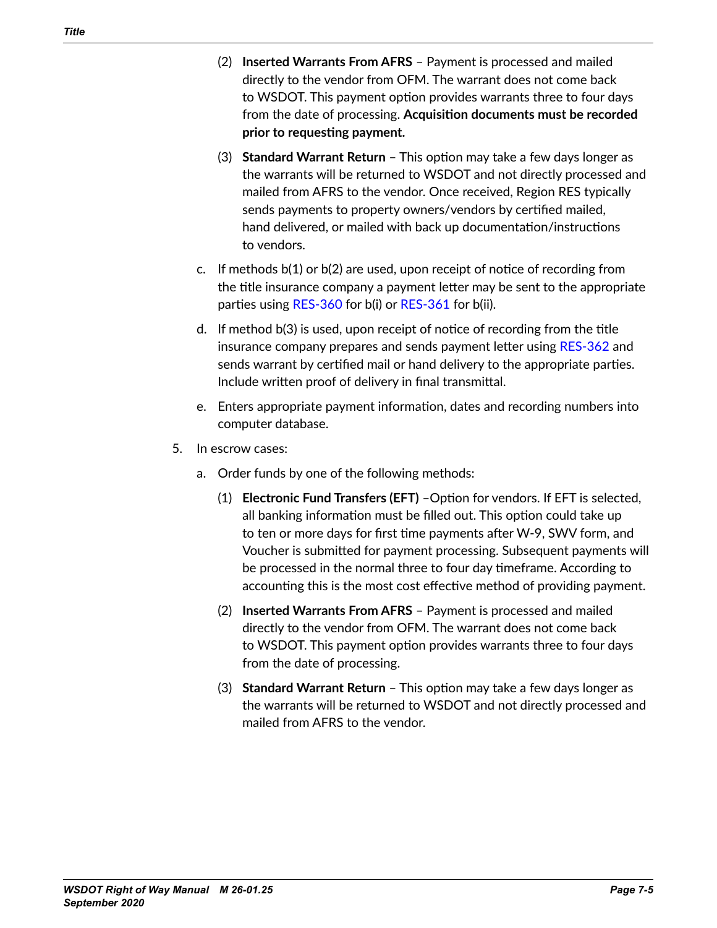- (2) **Inserted Warrants From AFRS** Payment is processed and mailed directly to the vendor from OFM. The warrant does not come back to WSDOT. This payment option provides warrants three to four days from the date of processing. **Acquisition documents must be recorded prior to requesting payment.**
- (3) **Standard Warrant Return** This option may take a few days longer as the warrants will be returned to WSDOT and not directly processed and mailed from AFRS to the vendor. Once received, Region RES typically sends payments to property owners/vendors by certified mailed, hand delivered, or mailed with back up documentation/instructions to vendors.
- c. If methods b(1) or b(2) are used, upon receipt of notice of recording from the title insurance company a payment letter may be sent to the appropriate parties using [RES-360](http://wwwi.wsdot.wa.gov/Design/RealEstateServices/AcquisitionForms.htm) for b(i) or [RES-361](http://wwwi.wsdot.wa.gov/Design/RealEstateServices/AcquisitionForms.htm) for b(ii).
- d. If method b(3) is used, upon receipt of notice of recording from the title insurance company prepares and sends payment letter using [RES-362](http://wwwi.wsdot.wa.gov/Design/RealEstateServices/AcquisitionForms.htm) and sends warrant by certified mail or hand delivery to the appropriate parties. Include written proof of delivery in final transmittal.
- e. Enters appropriate payment information, dates and recording numbers into computer database.
- 5. In escrow cases:
	- a. Order funds by one of the following methods:
		- (1) **Electronic Fund Transfers (EFT)** –Option for vendors. If EFT is selected, all banking information must be filled out. This option could take up to ten or more days for first time payments after W-9, SWV form, and Voucher is submitted for payment processing. Subsequent payments will be processed in the normal three to four day timeframe. According to accounting this is the most cost effective method of providing payment.
		- (2) **Inserted Warrants From AFRS** Payment is processed and mailed directly to the vendor from OFM. The warrant does not come back to WSDOT. This payment option provides warrants three to four days from the date of processing.
		- (3) **Standard Warrant Return** This option may take a few days longer as the warrants will be returned to WSDOT and not directly processed and mailed from AFRS to the vendor.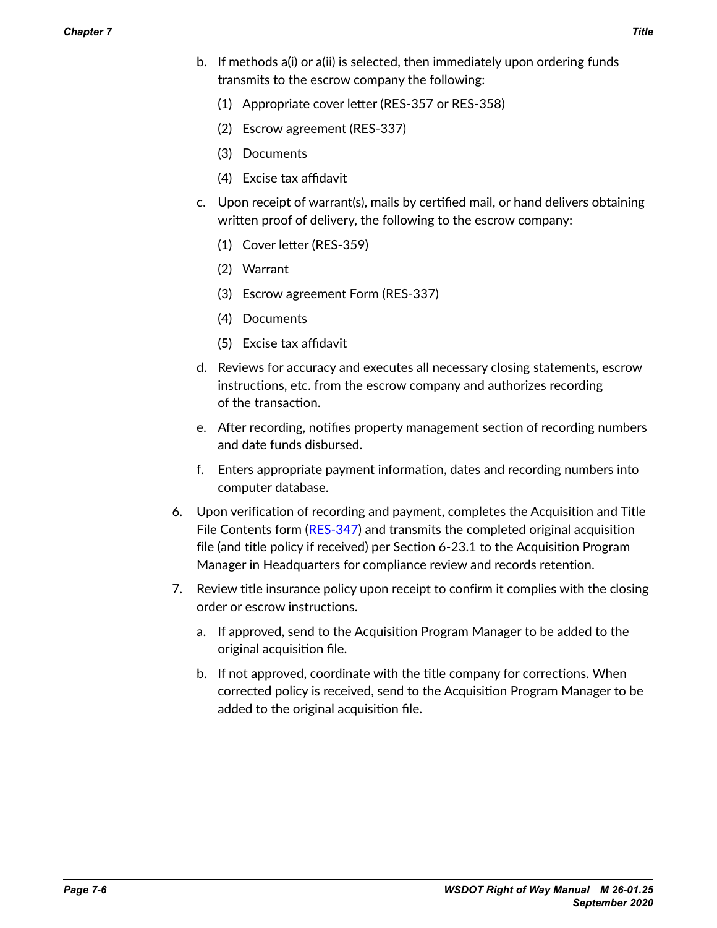- b. If methods a(i) or a(ii) is selected, then immediately upon ordering funds transmits to the escrow company the following:
	- (1) Appropriate cover letter (RES-357 or RES-358)
	- (2) Escrow agreement (RES-337)
	- (3) Documents
	- (4) Excise tax affidavit
- c. Upon receipt of warrant(s), mails by certified mail, or hand delivers obtaining written proof of delivery, the following to the escrow company:
	- (1) Cover letter (RES-359)
	- (2) Warrant
	- (3) Escrow agreement Form (RES-337)
	- (4) Documents
	- (5) Excise tax affidavit
- d. Reviews for accuracy and executes all necessary closing statements, escrow instructions, etc. from the escrow company and authorizes recording of the transaction.
- e. After recording, notifies property management section of recording numbers and date funds disbursed.
- f. Enters appropriate payment information, dates and recording numbers into computer database.
- 6. Upon verification of recording and payment, completes the Acquisition and Title File Contents form ([RES-347](http://www.wsdot.wa.gov/RealEstate/forms/Appraisal/default.htm)) and transmits the completed original acquisition file (and title policy if received) per Section 6-23.1 to the Acquisition Program Manager in Headquarters for compliance review and records retention.
- 7. Review title insurance policy upon receipt to confirm it complies with the closing order or escrow instructions.
	- a. If approved, send to the Acquisition Program Manager to be added to the original acquisition file.
	- b. If not approved, coordinate with the title company for corrections. When corrected policy is received, send to the Acquisition Program Manager to be added to the original acquisition file.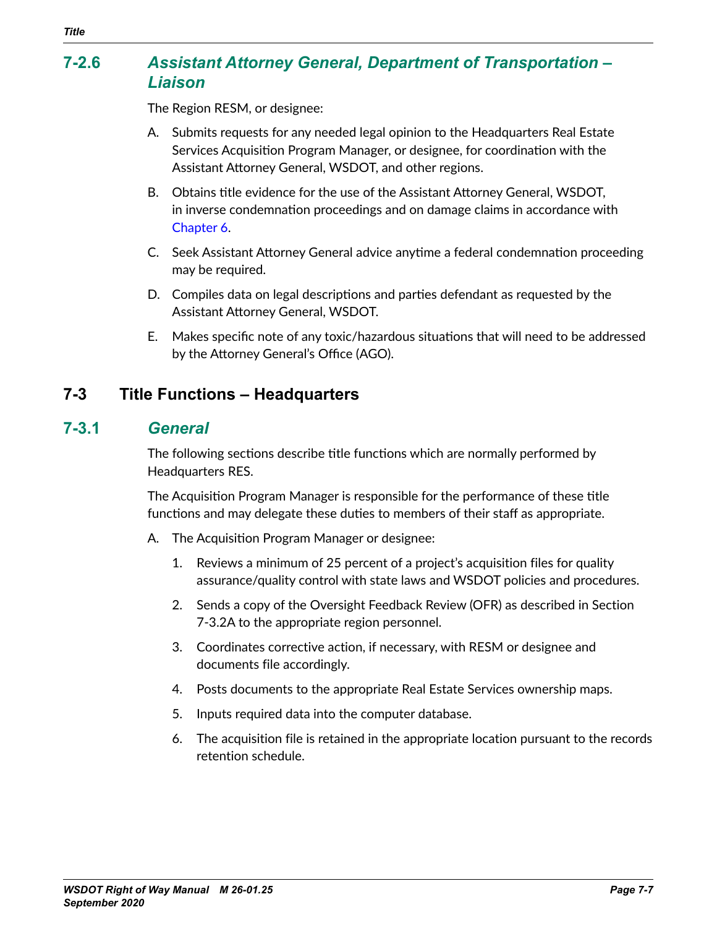## **7-2.6** *Assistant Attorney General, Department of Transportation – Liaison*

The Region RESM, or designee:

- A. Submits requests for any needed legal opinion to the Headquarters Real Estate Services Acquisition Program Manager, or designee, for coordination with the Assistant Attorney General, WSDOT, and other regions.
- B. Obtains title evidence for the use of the Assistant Attorney General, WSDOT, in inverse condemnation proceedings and on damage claims in accordance with Chapter 6.
- C. Seek Assistant Attorney General advice anytime a federal condemnation proceeding may be required.
- D. Compiles data on legal descriptions and parties defendant as requested by the Assistant Attorney General, WSDOT.
- E. Makes specific note of any toxic/hazardous situations that will need to be addressed by the Attorney General's Office (AGO).

### **7-3 Title Functions – Headquarters**

#### **7-3.1** *General*

The following sections describe title functions which are normally performed by Headquarters RES.

The Acquisition Program Manager is responsible for the performance of these title functions and may delegate these duties to members of their staff as appropriate.

- A. The Acquisition Program Manager or designee:
	- 1. Reviews a minimum of 25 percent of a project's acquisition files for quality assurance/quality control with state laws and WSDOT policies and procedures.
	- 2. Sends a copy of the Oversight Feedback Review (OFR) as described in Section 7-3.2A to the appropriate region personnel.
	- 3. Coordinates corrective action, if necessary, with RESM or designee and documents file accordingly.
	- 4. Posts documents to the appropriate Real Estate Services ownership maps.
	- 5. Inputs required data into the computer database.
	- 6. The acquisition file is retained in the appropriate location pursuant to the records retention schedule.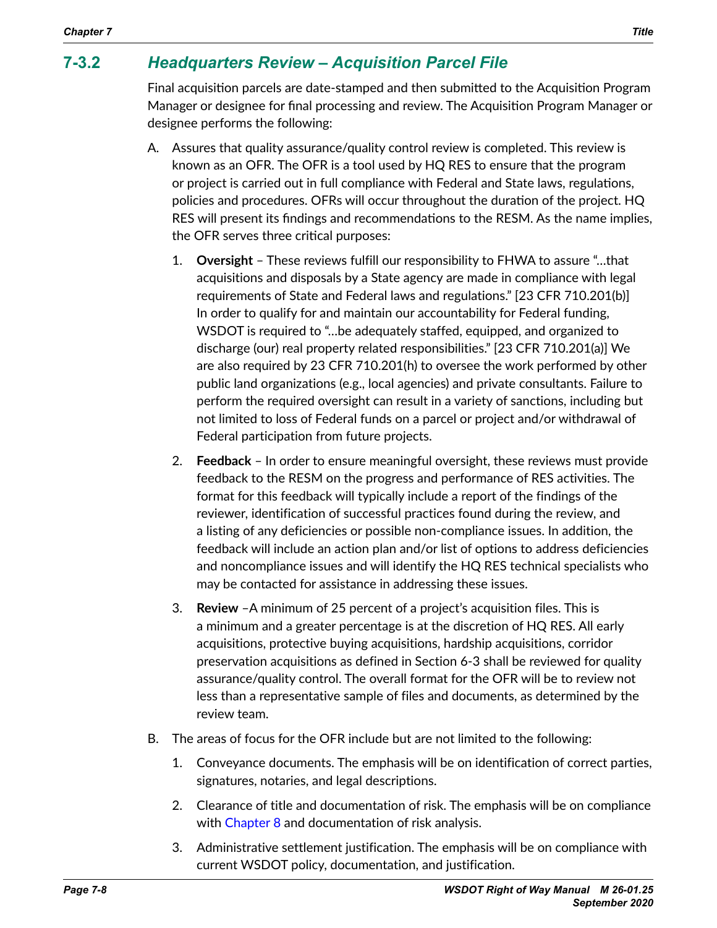## **7-3.2** *Headquarters Review – Acquisition Parcel File*

Final acquisition parcels are date-stamped and then submitted to the Acquisition Program Manager or designee for final processing and review. The Acquisition Program Manager or designee performs the following:

- A. Assures that quality assurance/quality control review is completed. This review is known as an OFR. The OFR is a tool used by HQ RES to ensure that the program or project is carried out in full compliance with Federal and State laws, regulations, policies and procedures. OFRs will occur throughout the duration of the project. HQ RES will present its findings and recommendations to the RESM. As the name implies, the OFR serves three critical purposes:
	- 1. **Oversight** These reviews fulfill our responsibility to FHWA to assure "…that acquisitions and disposals by a State agency are made in compliance with legal requirements of State and Federal laws and regulations." [23 CFR 710.201(b)] In order to qualify for and maintain our accountability for Federal funding, WSDOT is required to "…be adequately staffed, equipped, and organized to discharge (our) real property related responsibilities." [23 CFR 710.201(a)] We are also required by 23 CFR 710.201(h) to oversee the work performed by other public land organizations (e.g., local agencies) and private consultants. Failure to perform the required oversight can result in a variety of sanctions, including but not limited to loss of Federal funds on a parcel or project and/or withdrawal of Federal participation from future projects.
	- 2. **Feedback** In order to ensure meaningful oversight, these reviews must provide feedback to the RESM on the progress and performance of RES activities. The format for this feedback will typically include a report of the findings of the reviewer, identification of successful practices found during the review, and a listing of any deficiencies or possible non-compliance issues. In addition, the feedback will include an action plan and/or list of options to address deficiencies and noncompliance issues and will identify the HQ RES technical specialists who may be contacted for assistance in addressing these issues.
	- 3. **Review** –A minimum of 25 percent of a project's acquisition files. This is a minimum and a greater percentage is at the discretion of HQ RES. All early acquisitions, protective buying acquisitions, hardship acquisitions, corridor preservation acquisitions as defined in Section 6-3 shall be reviewed for quality assurance/quality control. The overall format for the OFR will be to review not less than a representative sample of files and documents, as determined by the review team.
- B. The areas of focus for the OFR include but are not limited to the following:
	- 1. Conveyance documents. The emphasis will be on identification of correct parties, signatures, notaries, and legal descriptions.
	- 2. Clearance of title and documentation of risk. The emphasis will be on compliance with Chapter 8 and documentation of risk analysis.
	- 3. Administrative settlement justification. The emphasis will be on compliance with current WSDOT policy, documentation, and justification.